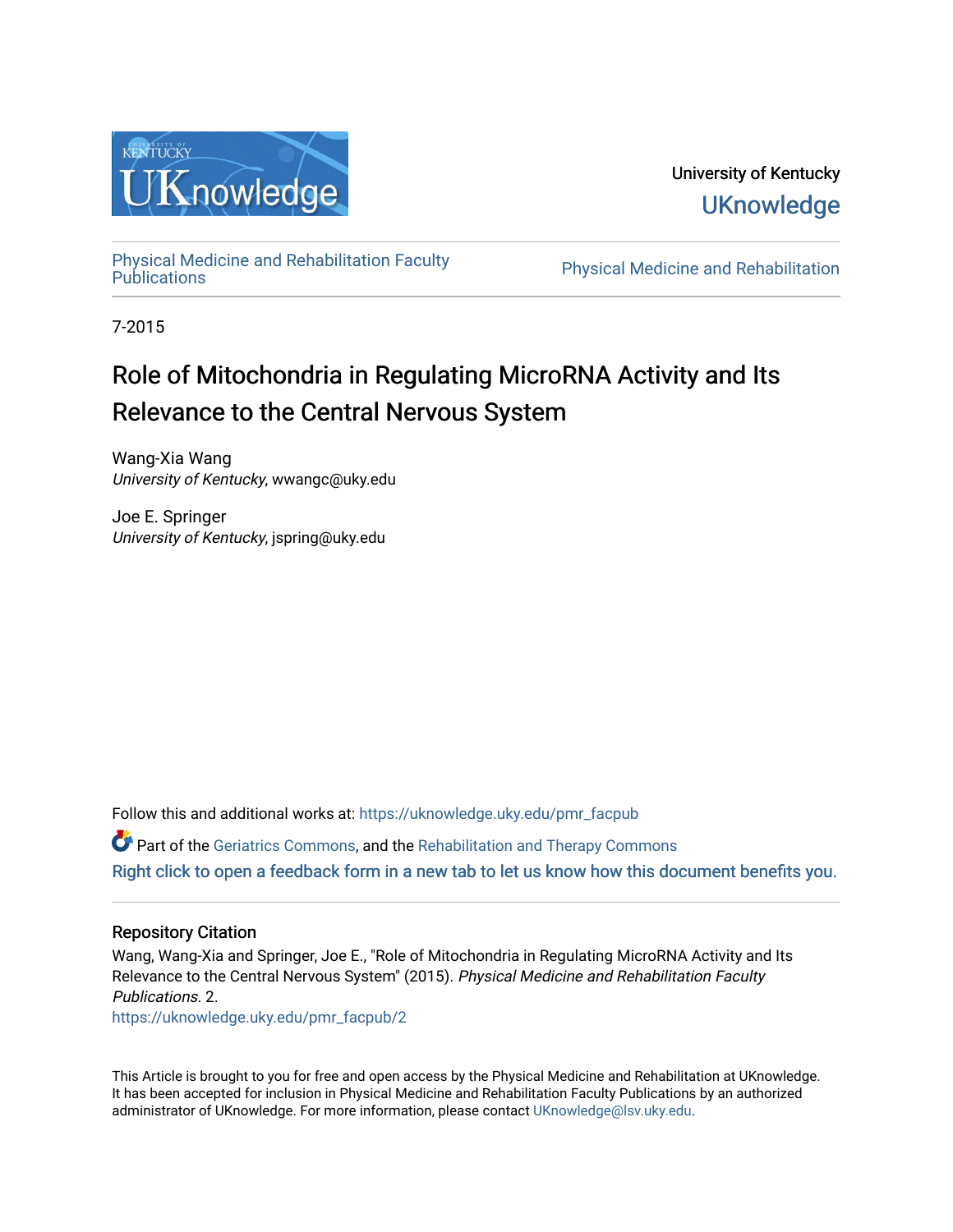

University of Kentucky **UKnowledge** 

[Physical Medicine and Rehabilitation Faculty](https://uknowledge.uky.edu/pmr_facpub) 

Physical Medicine and Rehabilitation

7-2015

# Role of Mitochondria in Regulating MicroRNA Activity and Its Relevance to the Central Nervous System

Wang-Xia Wang University of Kentucky, wwangc@uky.edu

Joe E. Springer University of Kentucky, jspring@uky.edu

Follow this and additional works at: [https://uknowledge.uky.edu/pmr\\_facpub](https://uknowledge.uky.edu/pmr_facpub?utm_source=uknowledge.uky.edu%2Fpmr_facpub%2F2&utm_medium=PDF&utm_campaign=PDFCoverPages) 

Part of the [Geriatrics Commons,](http://network.bepress.com/hgg/discipline/688?utm_source=uknowledge.uky.edu%2Fpmr_facpub%2F2&utm_medium=PDF&utm_campaign=PDFCoverPages) and the [Rehabilitation and Therapy Commons](http://network.bepress.com/hgg/discipline/749?utm_source=uknowledge.uky.edu%2Fpmr_facpub%2F2&utm_medium=PDF&utm_campaign=PDFCoverPages) [Right click to open a feedback form in a new tab to let us know how this document benefits you.](https://uky.az1.qualtrics.com/jfe/form/SV_9mq8fx2GnONRfz7)

### Repository Citation

Wang, Wang-Xia and Springer, Joe E., "Role of Mitochondria in Regulating MicroRNA Activity and Its Relevance to the Central Nervous System" (2015). Physical Medicine and Rehabilitation Faculty Publications. 2.

[https://uknowledge.uky.edu/pmr\\_facpub/2](https://uknowledge.uky.edu/pmr_facpub/2?utm_source=uknowledge.uky.edu%2Fpmr_facpub%2F2&utm_medium=PDF&utm_campaign=PDFCoverPages)

This Article is brought to you for free and open access by the Physical Medicine and Rehabilitation at UKnowledge. It has been accepted for inclusion in Physical Medicine and Rehabilitation Faculty Publications by an authorized administrator of UKnowledge. For more information, please contact [UKnowledge@lsv.uky.edu](mailto:UKnowledge@lsv.uky.edu).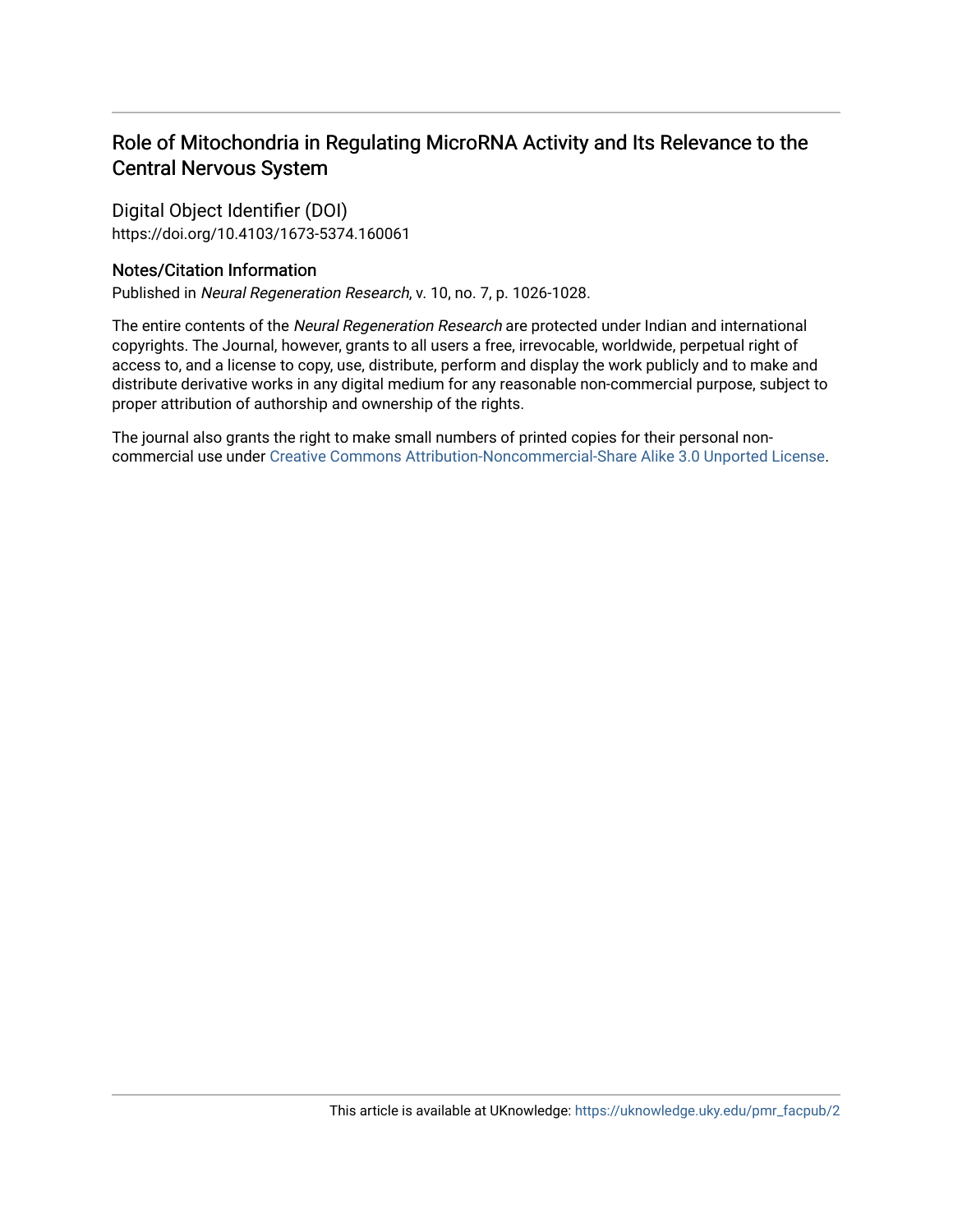## Role of Mitochondria in Regulating MicroRNA Activity and Its Relevance to the Central Nervous System

Digital Object Identifier (DOI) https://doi.org/10.4103/1673-5374.160061

### Notes/Citation Information

Published in Neural Regeneration Research, v. 10, no. 7, p. 1026-1028.

The entire contents of the Neural Regeneration Research are protected under Indian and international copyrights. The Journal, however, grants to all users a free, irrevocable, worldwide, perpetual right of access to, and a license to copy, use, distribute, perform and display the work publicly and to make and distribute derivative works in any digital medium for any reasonable non-commercial purpose, subject to proper attribution of authorship and ownership of the rights.

The journal also grants the right to make small numbers of printed copies for their personal noncommercial use under [Creative Commons Attribution-Noncommercial-Share Alike 3.0 Unported License](https://creativecommons.org/licenses/by-nc-sa/3.0/).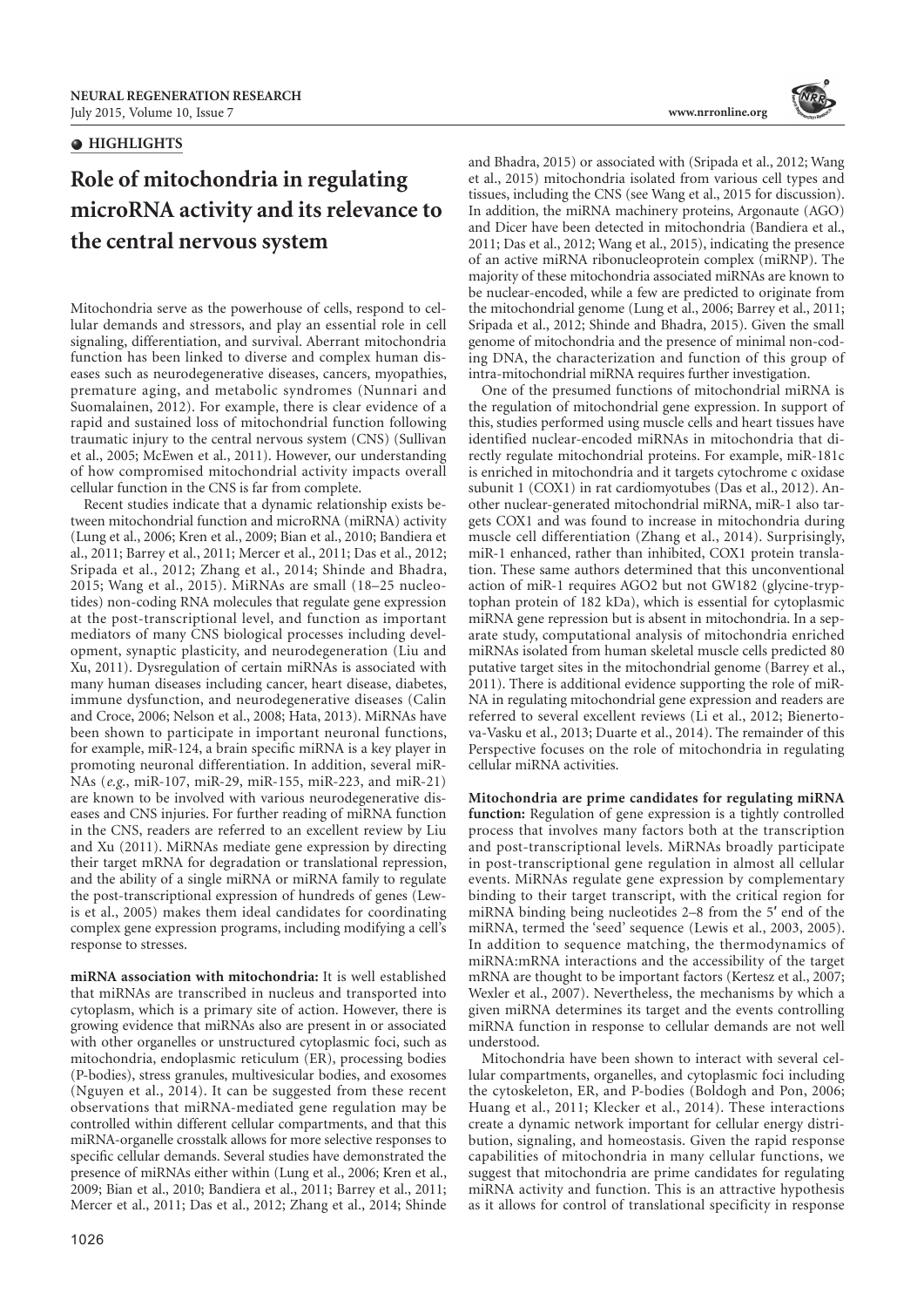#### $\bullet$  **HIGHLIGHTS**

# **Role of mitochondria in regulating microRNA activity and its relevance to the central nervous system**

Mitochondria serve as the powerhouse of cells, respond to cellular demands and stressors, and play an essential role in cell signaling, differentiation, and survival. Aberrant mitochondria function has been linked to diverse and complex human diseases such as neurodegenerative diseases, cancers, myopathies, premature aging, and metabolic syndromes (Nunnari and Suomalainen, 2012). For example, there is clear evidence of a rapid and sustained loss of mitochondrial function following traumatic injury to the central nervous system (CNS) (Sullivan et al., 2005; McEwen et al., 2011). However, our understanding of how compromised mitochondrial activity impacts overall cellular function in the CNS is far from complete.

Recent studies indicate that a dynamic relationship exists between mitochondrial function and microRNA (miRNA) activity (Lung et al., 2006; Kren et al., 2009; Bian et al., 2010; Bandiera et al., 2011; Barrey et al., 2011; Mercer et al., 2011; Das et al., 2012; Sripada et al., 2012; Zhang et al., 2014; Shinde and Bhadra, 2015; Wang et al., 2015). MiRNAs are small (18–25 nucleotides) non-coding RNA molecules that regulate gene expression at the post-transcriptional level, and function as important mediators of many CNS biological processes including development, synaptic plasticity, and neurodegeneration (Liu and Xu, 2011). Dysregulation of certain miRNAs is associated with many human diseases including cancer, heart disease, diabetes, immune dysfunction, and neurodegenerative diseases (Calin and Croce, 2006; Nelson et al., 2008; Hata, 2013). MiRNAs have been shown to participate in important neuronal functions, for example, miR-124, a brain specific miRNA is a key player in promoting neuronal differentiation. In addition, several miR-NAs (*e.g*., miR-107, miR-29, miR-155, miR-223, and miR-21) are known to be involved with various neurodegenerative diseases and CNS injuries. For further reading of miRNA function in the CNS, readers are referred to an excellent review by Liu and Xu (2011). MiRNAs mediate gene expression by directing their target mRNA for degradation or translational repression, and the ability of a single miRNA or miRNA family to regulate the post-transcriptional expression of hundreds of genes (Lewis et al., 2005) makes them ideal candidates for coordinating complex gene expression programs, including modifying a cell's response to stresses.

**miRNA association with mitochondria:** It is well established that miRNAs are transcribed in nucleus and transported into cytoplasm, which is a primary site of action. However, there is growing evidence that miRNAs also are present in or associated with other organelles or unstructured cytoplasmic foci, such as mitochondria, endoplasmic reticulum (ER), processing bodies (P-bodies), stress granules, multivesicular bodies, and exosomes (Nguyen et al., 2014). It can be suggested from these recent observations that miRNA-mediated gene regulation may be controlled within different cellular compartments, and that this miRNA-organelle crosstalk allows for more selective responses to specific cellular demands. Several studies have demonstrated the presence of miRNAs either within (Lung et al., 2006; Kren et al., 2009; Bian et al., 2010; Bandiera et al., 2011; Barrey et al., 2011; Mercer et al., 2011; Das et al., 2012; Zhang et al., 2014; Shinde



and Bhadra, 2015) or associated with (Sripada et al., 2012; Wang et al., 2015) mitochondria isolated from various cell types and tissues, including the CNS (see Wang et al., 2015 for discussion). In addition, the miRNA machinery proteins, Argonaute (AGO) and Dicer have been detected in mitochondria (Bandiera et al., 2011; Das et al., 2012; Wang et al., 2015), indicating the presence of an active miRNA ribonucleoprotein complex (miRNP). The majority of these mitochondria associated miRNAs are known to be nuclear-encoded, while a few are predicted to originate from the mitochondrial genome (Lung et al., 2006; Barrey et al., 2011; Sripada et al., 2012; Shinde and Bhadra, 2015). Given the small genome of mitochondria and the presence of minimal non-coding DNA, the characterization and function of this group of intra-mitochondrial miRNA requires further investigation.

One of the presumed functions of mitochondrial miRNA is the regulation of mitochondrial gene expression. In support of this, studies performed using muscle cells and heart tissues have identified nuclear-encoded miRNAs in mitochondria that directly regulate mitochondrial proteins. For example, miR-181c is enriched in mitochondria and it targets cytochrome c oxidase subunit 1 (COX1) in rat cardiomyotubes (Das et al., 2012). Another nuclear-generated mitochondrial miRNA, miR-1 also targets COX1 and was found to increase in mitochondria during muscle cell differentiation (Zhang et al., 2014). Surprisingly, miR-1 enhanced, rather than inhibited, COX1 protein translation. These same authors determined that this unconventional action of miR-1 requires AGO2 but not GW182 (glycine-tryptophan protein of 182 kDa), which is essential for cytoplasmic miRNA gene repression but is absent in mitochondria. In a separate study, computational analysis of mitochondria enriched miRNAs isolated from human skeletal muscle cells predicted 80 putative target sites in the mitochondrial genome (Barrey et al., 2011). There is additional evidence supporting the role of miR-NA in regulating mitochondrial gene expression and readers are referred to several excellent reviews (Li et al., 2012; Bienertova-Vasku et al., 2013; Duarte et al., 2014). The remainder of this Perspective focuses on the role of mitochondria in regulating cellular miRNA activities.

**Mitochondria are prime candidates for regulating miRNA function:** Regulation of gene expression is a tightly controlled process that involves many factors both at the transcription and post-transcriptional levels. MiRNAs broadly participate in post-transcriptional gene regulation in almost all cellular events. MiRNAs regulate gene expression by complementary binding to their target transcript, with the critical region for miRNA binding being nucleotides 2–8 from the 5′ end of the miRNA, termed the 'seed' sequence (Lewis et al., 2003, 2005). In addition to sequence matching, the thermodynamics of miRNA:mRNA interactions and the accessibility of the target mRNA are thought to be important factors (Kertesz et al., 2007; Wexler et al., 2007). Nevertheless, the mechanisms by which a given miRNA determines its target and the events controlling miRNA function in response to cellular demands are not well understood.

Mitochondria have been shown to interact with several cellular compartments, organelles, and cytoplasmic foci including the cytoskeleton, ER, and P-bodies (Boldogh and Pon, 2006; Huang et al., 2011; Klecker et al., 2014). These interactions create a dynamic network important for cellular energy distribution, signaling, and homeostasis. Given the rapid response capabilities of mitochondria in many cellular functions, we suggest that mitochondria are prime candidates for regulating miRNA activity and function. This is an attractive hypothesis as it allows for control of translational specificity in response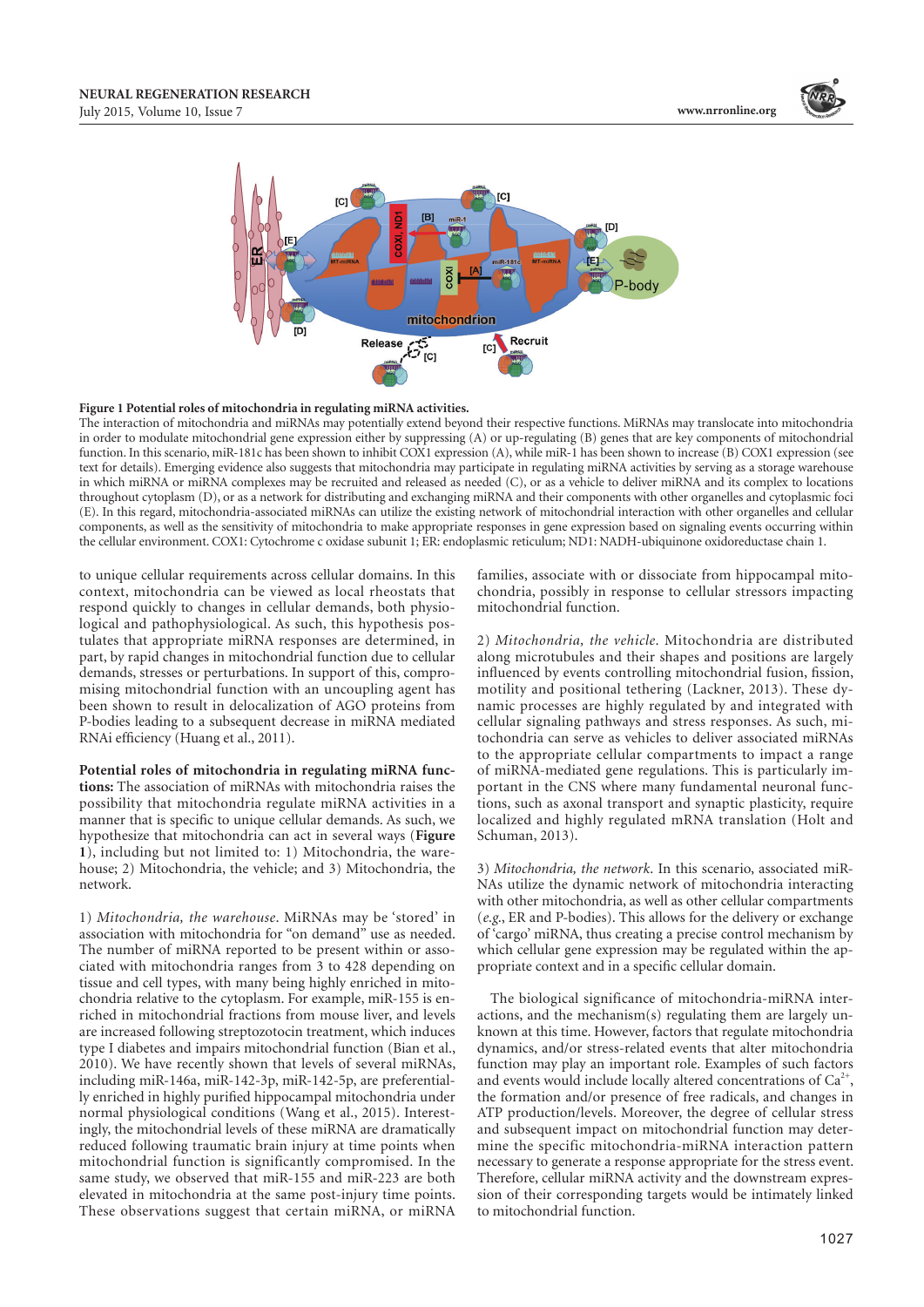



#### **Figure 1 Potential roles of mitochondria in regulating miRNA activities.**

The interaction of mitochondria and miRNAs may potentially extend beyond their respective functions. MiRNAs may translocate into mitochondria in order to modulate mitochondrial gene expression either by suppressing (A) or up-regulating (B) genes that are key components of mitochondrial function. In this scenario, miR-181c has been shown to inhibit COX1 expression (A), while miR-1 has been shown to increase (B) COX1 expression (see text for details). Emerging evidence also suggests that mitochondria may participate in regulating miRNA activities by serving as a storage warehouse in which miRNA or miRNA complexes may be recruited and released as needed (C), or as a vehicle to deliver miRNA and its complex to locations throughout cytoplasm (D), or as a network for distributing and exchanging miRNA and their components with other organelles and cytoplasmic foci (E). In this regard, mitochondria-associated miRNAs can utilize the existing network of mitochondrial interaction with other organelles and cellular components, as well as the sensitivity of mitochondria to make appropriate responses in gene expression based on signaling events occurring within the cellular environment. COX1: Cytochrome c oxidase subunit 1; ER: endoplasmic reticulum; ND1: NADH-ubiquinone oxidoreductase chain 1.

to unique cellular requirements across cellular domains. In this context, mitochondria can be viewed as local rheostats that respond quickly to changes in cellular demands, both physiological and pathophysiological. As such, this hypothesis postulates that appropriate miRNA responses are determined, in part, by rapid changes in mitochondrial function due to cellular demands, stresses or perturbations. In support of this, compromising mitochondrial function with an uncoupling agent has been shown to result in delocalization of AGO proteins from P-bodies leading to a subsequent decrease in miRNA mediated RNAi efficiency (Huang et al., 2011).

**Potential roles of mitochondria in regulating miRNA functions:** The association of miRNAs with mitochondria raises the possibility that mitochondria regulate miRNA activities in a manner that is specific to unique cellular demands. As such, we hypothesize that mitochondria can act in several ways (**Figure 1**), including but not limited to: 1) Mitochondria, the warehouse; 2) Mitochondria, the vehicle; and 3) Mitochondria, the network.

1) *Mitochondria, the warehouse*. MiRNAs may be 'stored' in association with mitochondria for "on demand" use as needed. The number of miRNA reported to be present within or associated with mitochondria ranges from 3 to 428 depending on tissue and cell types, with many being highly enriched in mitochondria relative to the cytoplasm. For example, miR-155 is enriched in mitochondrial fractions from mouse liver, and levels are increased following streptozotocin treatment, which induces type I diabetes and impairs mitochondrial function (Bian et al., 2010). We have recently shown that levels of several miRNAs, including miR-146a, miR-142-3p, miR-142-5p, are preferentially enriched in highly purified hippocampal mitochondria under normal physiological conditions (Wang et al., 2015). Interestingly, the mitochondrial levels of these miRNA are dramatically reduced following traumatic brain injury at time points when mitochondrial function is significantly compromised. In the same study, we observed that miR-155 and miR-223 are both elevated in mitochondria at the same post-injury time points. These observations suggest that certain miRNA, or miRNA

families, associate with or dissociate from hippocampal mitochondria, possibly in response to cellular stressors impacting mitochondrial function.

2) *Mitochondria, the vehicle*. Mitochondria are distributed along microtubules and their shapes and positions are largely influenced by events controlling mitochondrial fusion, fission, motility and positional tethering (Lackner, 2013). These dynamic processes are highly regulated by and integrated with cellular signaling pathways and stress responses. As such, mitochondria can serve as vehicles to deliver associated miRNAs to the appropriate cellular compartments to impact a range of miRNA-mediated gene regulations. This is particularly important in the CNS where many fundamental neuronal functions, such as axonal transport and synaptic plasticity, require localized and highly regulated mRNA translation (Holt and Schuman, 2013).

3) *Mitochondria, the network*. In this scenario, associated miR-NAs utilize the dynamic network of mitochondria interacting with other mitochondria, as well as other cellular compartments (*e.g*., ER and P-bodies). This allows for the delivery or exchange of 'cargo' miRNA, thus creating a precise control mechanism by which cellular gene expression may be regulated within the appropriate context and in a specific cellular domain.

The biological significance of mitochondria-miRNA interactions, and the mechanism(s) regulating them are largely unknown at this time. However, factors that regulate mitochondria dynamics, and/or stress-related events that alter mitochondria function may play an important role. Examples of such factors and events would include locally altered concentrations of  $Ca<sup>2+</sup>$ , the formation and/or presence of free radicals, and changes in ATP production/levels. Moreover, the degree of cellular stress and subsequent impact on mitochondrial function may determine the specific mitochondria-miRNA interaction pattern necessary to generate a response appropriate for the stress event. Therefore, cellular miRNA activity and the downstream expression of their corresponding targets would be intimately linked to mitochondrial function.